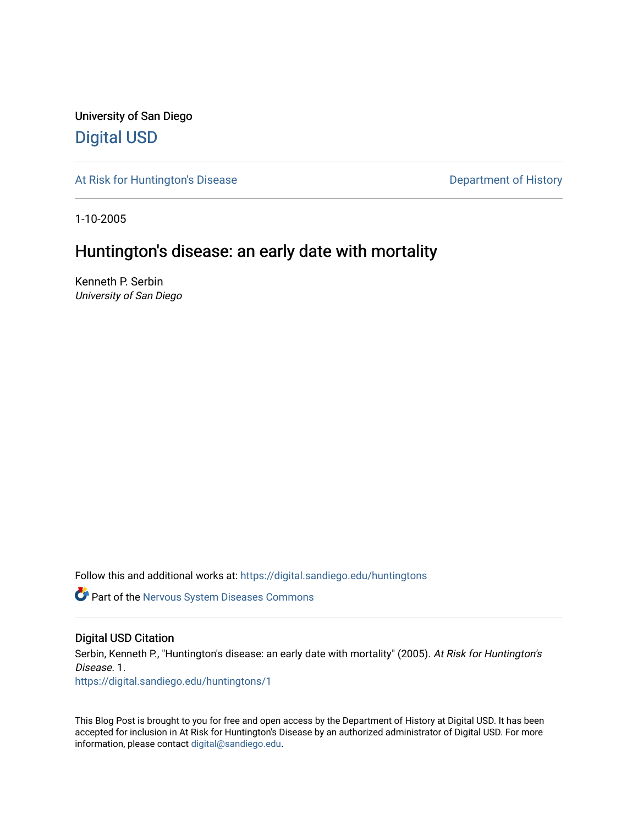University of San Diego [Digital USD](https://digital.sandiego.edu/)

[At Risk for Huntington's Disease](https://digital.sandiego.edu/huntingtons) **Department of History** Department of History

1-10-2005

# Huntington's disease: an early date with mortality

Kenneth P. Serbin University of San Diego

Follow this and additional works at: [https://digital.sandiego.edu/huntingtons](https://digital.sandiego.edu/huntingtons?utm_source=digital.sandiego.edu%2Fhuntingtons%2F1&utm_medium=PDF&utm_campaign=PDFCoverPages)

**Part of the [Nervous System Diseases Commons](http://network.bepress.com/hgg/discipline/928?utm_source=digital.sandiego.edu%2Fhuntingtons%2F1&utm_medium=PDF&utm_campaign=PDFCoverPages)** 

# Digital USD Citation

Serbin, Kenneth P., "Huntington's disease: an early date with mortality" (2005). At Risk for Huntington's Disease. 1.

[https://digital.sandiego.edu/huntingtons/1](https://digital.sandiego.edu/huntingtons/1?utm_source=digital.sandiego.edu%2Fhuntingtons%2F1&utm_medium=PDF&utm_campaign=PDFCoverPages) 

This Blog Post is brought to you for free and open access by the Department of History at Digital USD. It has been accepted for inclusion in At Risk for Huntington's Disease by an authorized administrator of Digital USD. For more information, please contact [digital@sandiego.edu.](mailto:digital@sandiego.edu)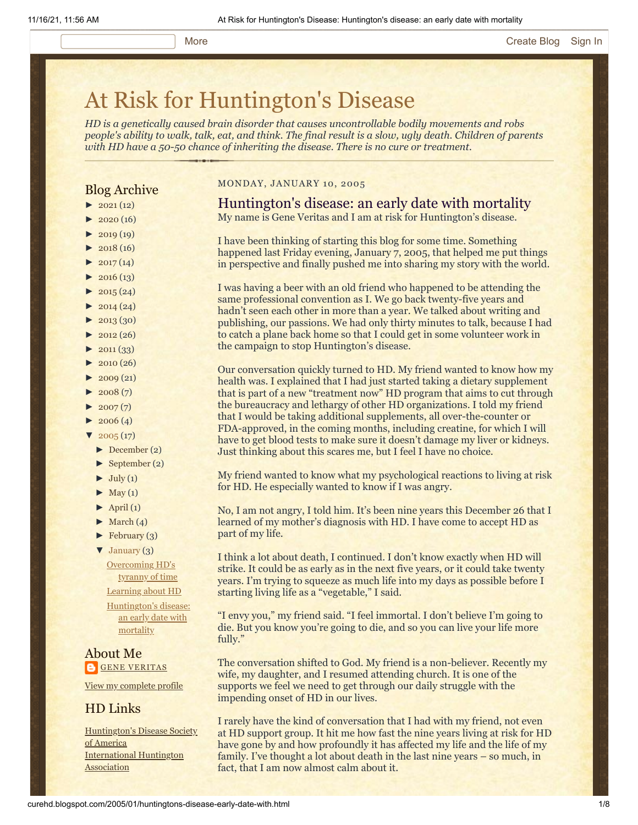# [At Risk for Huntington's Disease](http://curehd.blogspot.com/)

*HD is a genetically caused brain disorder that causes uncontrollable bodily movements and robs people's ability to walk, talk, eat, and think. The final result is a slow, ugly death. Children of parents with HD have a 50-50 chance of inheriting the disease. There is no cure or treatment.*

# Blog Archive

- $\blacktriangleright$  [2021](http://curehd.blogspot.com/2021/) (12)
- $\blacktriangleright$  [2020](http://curehd.blogspot.com/2020/) (16)
- $\blacktriangleright$  [2019](http://curehd.blogspot.com/2019/) (19)
- $\blacktriangleright$  [2018](http://curehd.blogspot.com/2018/) (16)
- $\blacktriangleright$  [2017](http://curehd.blogspot.com/2017/) (14)
- $\blacktriangleright$  [2016](http://curehd.blogspot.com/2016/) (13)
- $\blacktriangleright$  [2015](http://curehd.blogspot.com/2015/) (24)
- $\blacktriangleright$  [2014](http://curehd.blogspot.com/2014/) (24)
- $\blacktriangleright$  [2013](http://curehd.blogspot.com/2013/) (30)
- $\blacktriangleright$  [2012](http://curehd.blogspot.com/2012/) (26)
- $\blacktriangleright$  [2011](http://curehd.blogspot.com/2011/) (33)
- $\blacktriangleright$  [2010](http://curehd.blogspot.com/2010/) (26)
- $\blacktriangleright$  [2009](http://curehd.blogspot.com/2009/) (21)
- $\blacktriangleright$  [2008](http://curehd.blogspot.com/2008/) $(7)$
- $\blacktriangleright$  [2007](http://curehd.blogspot.com/2007/) $(7)$
- $\blacktriangleright$  [2006](http://curehd.blogspot.com/2006/) (4)
- $\sqrt{2005(17)}$  $\sqrt{2005(17)}$  $\sqrt{2005(17)}$ 
	- [►](javascript:void(0)) [December](http://curehd.blogspot.com/2005/12/) (2)
	- [►](javascript:void(0)) [September](http://curehd.blogspot.com/2005/09/) (2)
	- $\blacktriangleright$  [July](http://curehd.blogspot.com/2005/07/) (1)
	- $\blacktriangleright$  [May](http://curehd.blogspot.com/2005/05/) (1)
	- $\blacktriangleright$  [April](http://curehd.blogspot.com/2005/04/) (1)
	- $\blacktriangleright$  [March](http://curehd.blogspot.com/2005/03/) (4)
	- $\blacktriangleright$  [February](http://curehd.blogspot.com/2005/02/) (3)

[▼](javascript:void(0)) [January](http://curehd.blogspot.com/2005/01/) (3) [Overcoming](http://curehd.blogspot.com/2005/01/overcoming-hds-tyranny-of-time.html) HD's tyranny of time [Learning](http://curehd.blogspot.com/2005/01/learning-about-hd.html) about HD

[Huntington's](http://curehd.blogspot.com/2005/01/huntingtons-disease-early-date-with.html) disease: an early date with mortality

About Me **GENE [VERITAS](https://www.blogger.com/profile/10911736205741688185)** 

### View my [complete](https://www.blogger.com/profile/10911736205741688185) profile

# HD Links

[Huntington's](http://www.hdsa.org/) Disease Society of America [International](http://www.huntington-assoc.com/) Huntington Association

#### MONDAY, JANUARY 10, 2005

# Huntington's disease: an early date with mortality

My name is Gene Veritas and I am at risk for Huntington's disease.

I have been thinking of starting this blog for some time. Something happened last Friday evening, January 7, 2005, that helped me put things in perspective and finally pushed me into sharing my story with the world.

I was having a beer with an old friend who happened to be attending the same professional convention as I. We go back twenty-five years and hadn't seen each other in more than a year. We talked about writing and publishing, our passions. We had only thirty minutes to talk, because I had to catch a plane back home so that I could get in some volunteer work in the campaign to stop Huntington's disease.

Our conversation quickly turned to HD. My friend wanted to know how my health was. I explained that I had just started taking a dietary supplement that is part of a new "treatment now" HD program that aims to cut through the bureaucracy and lethargy of other HD organizations. I told my friend that I would be taking additional supplements, all over-the-counter or FDA-approved, in the coming months, including creatine, for which I will have to get blood tests to make sure it doesn't damage my liver or kidneys. Just thinking about this scares me, but I feel I have no choice.

My friend wanted to know what my psychological reactions to living at risk for HD. He especially wanted to know if I was angry.

No, I am not angry, I told him. It's been nine years this December 26 that I learned of my mother's diagnosis with HD. I have come to accept HD as part of my life.

I think a lot about death, I continued. I don't know exactly when HD will strike. It could be as early as in the next five years, or it could take twenty years. I'm trying to squeeze as much life into my days as possible before I starting living life as a "vegetable," I said.

"I envy you," my friend said. "I feel immortal. I don't believe I'm going to die. But you know you're going to die, and so you can live your life more fully."

The conversation shifted to God. My friend is a non-believer. Recently my wife, my daughter, and I resumed attending church. It is one of the supports we feel we need to get through our daily struggle with the impending onset of HD in our lives.

I rarely have the kind of conversation that I had with my friend, not even at HD support group. It hit me how fast the nine years living at risk for HD have gone by and how profoundly it has affected my life and the life of my family. I've thought a lot about death in the last nine years – so much, in fact, that I am now almost calm about it.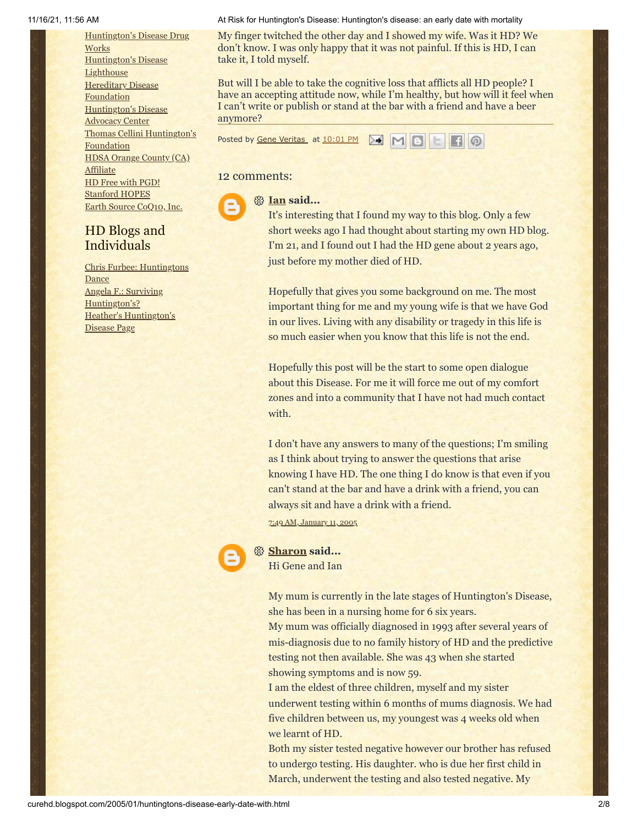[Huntington's](http://hddrugworks.org/) Disease Drug **Works** [Huntington's](http://www.hdlighthouse.org/) Disease **Lighthouse Hereditary Disease [Foundation](http://www.hdfoundation.org/)** [Huntington's](http://www.hdac.org/) Disease **Advocacy Center** Thomas [Cellini Huntington's](http://www.ourtchfoundation.org/) Foundation HDSA Orange County (CA) **[Affiliate](http://www.hdsaoc.org/)** HD Free with [PGD!](http://www.hdfreewithpgd.com/) [Stanford](http://www.stanford.edu/group/hopes/) HOPES Earth Source [CoQ10,](http://www.escoq10.com/) Inc.

# HD Blogs and Individuals

Chris Furbee: [Huntingtons](http://www.huntingtonsdance.org/) Dance Angela F.: Surviving [Huntington's?](http://survivinghuntingtons.blogspot.com/) Heather's [Huntington's](http://heatherdugdale.angelfire.com/) Disease Page

#### 11/16/21, 11:56 AM At Risk for Huntington's Disease: Huntington's disease: an early date with mortality

My finger twitched the other day and I showed my wife. Was it HD? We don't know. I was only happy that it was not painful. If this is HD, I can take it, I told myself.

But will I be able to take the cognitive loss that afflicts all HD people? I have an accepting attitude now, while I'm healthy, but how will it feel when I can't write or publish or stand at the bar with a friend and have a beer anymore?

Posted by Gene [Veritas](https://www.blogger.com/profile/03599828959793084715) at [10:01](http://curehd.blogspot.com/2005/01/huntingtons-disease-early-date-with.html) PM



# 12 comments:

**[Ian](https://www.blogger.com/profile/05958901023146991722) said...**

It's interesting that I found my way to this blog. Only a few short weeks ago I had thought about starting my own HD blog. I'm 21, and I found out I had the HD gene about 2 years ago, just before my mother died of HD.

Hopefully that gives you some background on me. The most important thing for me and my young wife is that we have God in our lives. Living with any disability or tragedy in this life is so much easier when you know that this life is not the end.

Hopefully this post will be the start to some open dialogue about this Disease. For me it will force me out of my comfort zones and into a community that I have not had much contact with.

I don't have any answers to many of the questions; I'm smiling as I think about trying to answer the questions that arise knowing I have HD. The one thing I do know is that even if you can't stand at the bar and have a drink with a friend, you can always sit and have a drink with a friend.

7:49 AM, [January](http://curehd.blogspot.com/2005/01/huntingtons-disease-early-date-with.html?showComment=1105458540000#c110545858671140441) 11, 2005



### **[Sharon](https://www.blogger.com/profile/08493589137217947449) said...**

Hi Gene and Ian

My mum is currently in the late stages of Huntington's Disease, she has been in a nursing home for 6 six years.

My mum was officially diagnosed in 1993 after several years of mis-diagnosis due to no family history of HD and the predictive testing not then available. She was 43 when she started showing symptoms and is now 59.

I am the eldest of three children, myself and my sister underwent testing within 6 months of mums diagnosis. We had five children between us, my youngest was 4 weeks old when we learnt of HD.

Both my sister tested negative however our brother has refused to undergo testing. His daughter. who is due her first child in March, underwent the testing and also tested negative. My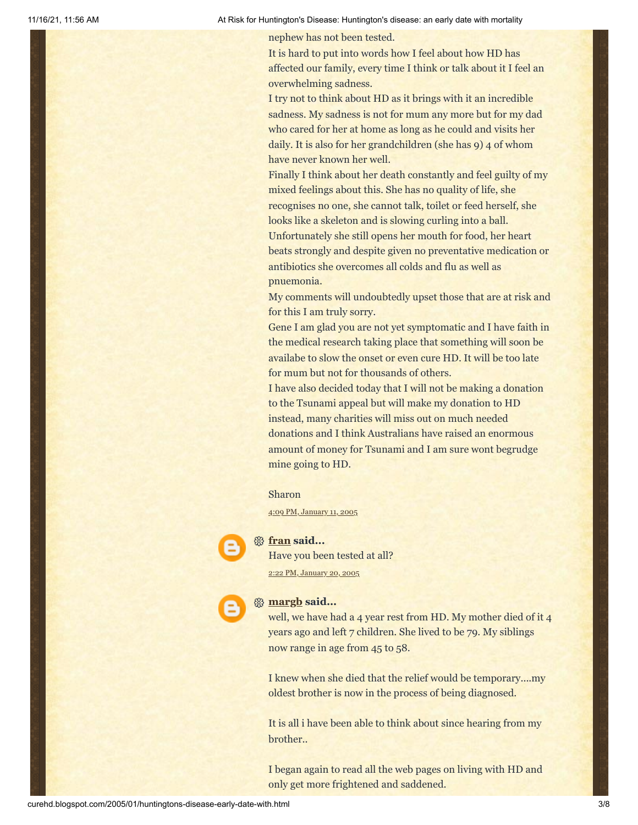nephew has not been tested.

It is hard to put into words how I feel about how HD has affected our family, every time I think or talk about it I feel an overwhelming sadness.

I try not to think about HD as it brings with it an incredible sadness. My sadness is not for mum any more but for my dad who cared for her at home as long as he could and visits her daily. It is also for her grandchildren (she has 9) 4 of whom have never known her well.

Finally I think about her death constantly and feel guilty of my mixed feelings about this. She has no quality of life, she recognises no one, she cannot talk, toilet or feed herself, she looks like a skeleton and is slowing curling into a ball. Unfortunately she still opens her mouth for food, her heart beats strongly and despite given no preventative medication or antibiotics she overcomes all colds and flu as well as pnuemonia.

My comments will undoubtedly upset those that are at risk and for this I am truly sorry.

Gene I am glad you are not yet symptomatic and I have faith in the medical research taking place that something will soon be availabe to slow the onset or even cure HD. It will be too late for mum but not for thousands of others.

I have also decided today that I will not be making a donation to the Tsunami appeal but will make my donation to HD instead, many charities will miss out on much needed donations and I think Australians have raised an enormous amount of money for Tsunami and I am sure wont begrudge mine going to HD.

#### Sharon

4:09 PM, [January](http://curehd.blogspot.com/2005/01/huntingtons-disease-early-date-with.html?showComment=1105488540000#c110548858052330901) 11, 2005

#### **[fran](https://www.blogger.com/profile/04529069904987081106) said...**

Have you been tested at all? 2:22 PM, [January](http://curehd.blogspot.com/2005/01/huntingtons-disease-early-date-with.html?showComment=1106259720000#c110625976039568945) 20, 2005



well, we have had a 4 year rest from HD. My mother died of it 4 years ago and left 7 children. She lived to be 79. My siblings now range in age from 45 to 58.

I knew when she died that the relief would be temporary....my oldest brother is now in the process of being diagnosed.

It is all i have been able to think about since hearing from my brother..

I began again to read all the web pages on living with HD and only get more frightened and saddened.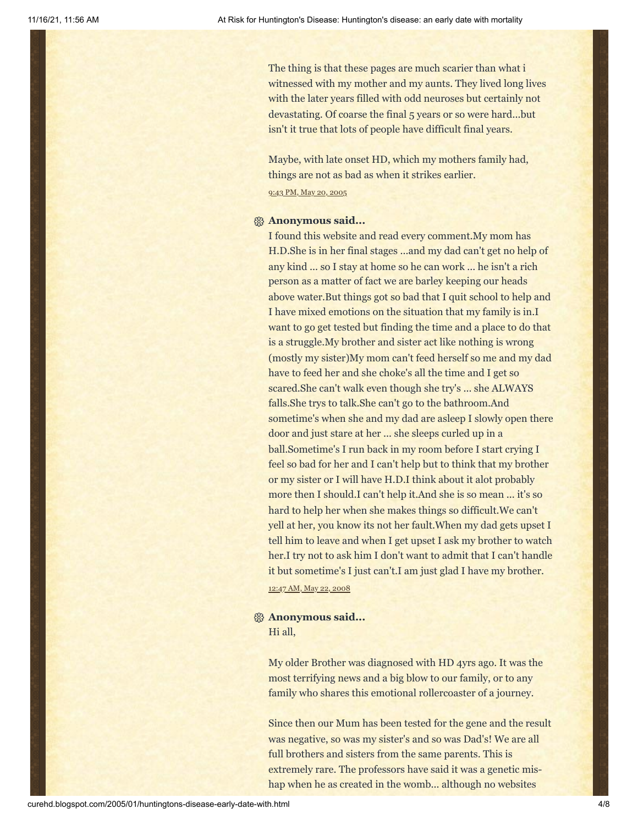The thing is that these pages are much scarier than what i witnessed with my mother and my aunts. They lived long lives with the later years filled with odd neuroses but certainly not devastating. Of coarse the final 5 years or so were hard...but isn't it true that lots of people have difficult final years.

Maybe, with late onset HD, which my mothers family had, things are not as bad as when it strikes earlier. 9:43 PM, May 20, [2005](http://curehd.blogspot.com/2005/01/huntingtons-disease-early-date-with.html?showComment=1116650580000#c111665058564305071)

#### **Anonymous said...**

I found this website and read every comment.My mom has H.D.She is in her final stages ...and my dad can't get no help of any kind ... so I stay at home so he can work ... he isn't a rich person as a matter of fact we are barley keeping our heads above water.But things got so bad that I quit school to help and I have mixed emotions on the situation that my family is in.I want to go get tested but finding the time and a place to do that is a struggle.My brother and sister act like nothing is wrong (mostly my sister)My mom can't feed herself so me and my dad have to feed her and she choke's all the time and I get so scared.She can't walk even though she try's ... she ALWAYS falls.She trys to talk.She can't go to the bathroom.And sometime's when she and my dad are asleep I slowly open there door and just stare at her ... she sleeps curled up in a ball.Sometime's I run back in my room before I start crying I feel so bad for her and I can't help but to think that my brother or my sister or I will have H.D.I think about it alot probably more then I should.I can't help it.And she is so mean ... it's so hard to help her when she makes things so difficult.We can't yell at her, you know its not her fault.When my dad gets upset I tell him to leave and when I get upset I ask my brother to watch her.I try not to ask him I don't want to admit that I can't handle it but sometime's I just can't.I am just glad I have my brother. 12:47 AM, May 22, [2008](http://curehd.blogspot.com/2005/01/huntingtons-disease-early-date-with.html?showComment=1211442420000#c464829308830249192)

#### **Anonymous said...** Hi all,

My older Brother was diagnosed with HD 4yrs ago. It was the most terrifying news and a big blow to our family, or to any family who shares this emotional rollercoaster of a journey.

Since then our Mum has been tested for the gene and the result was negative, so was my sister's and so was Dad's! We are all full brothers and sisters from the same parents. This is extremely rare. The professors have said it was a genetic mishap when he as created in the womb... although no websites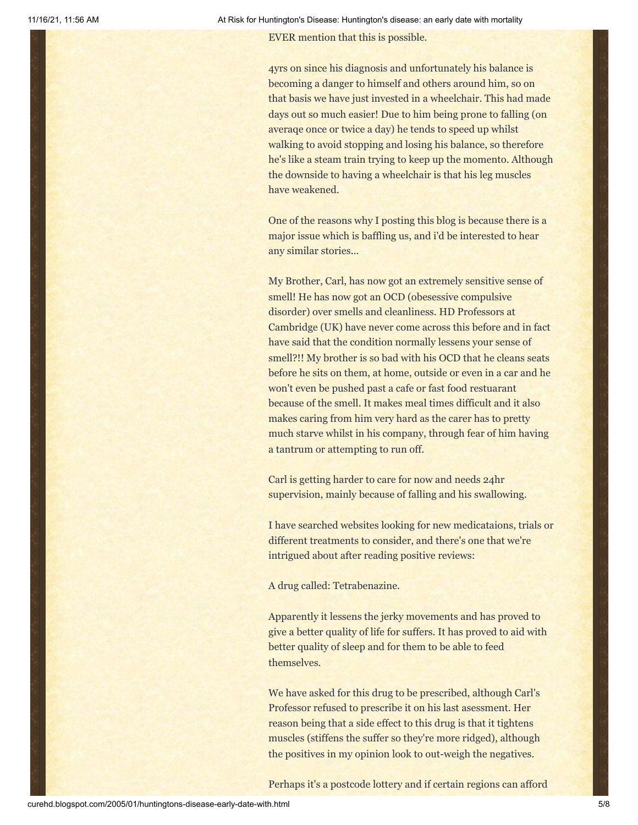EVER mention that this is possible.

4yrs on since his diagnosis and unfortunately his balance is becoming a danger to himself and others around him, so on that basis we have just invested in a wheelchair. This had made days out so much easier! Due to him being prone to falling (on averaqe once or twice a day) he tends to speed up whilst walking to avoid stopping and losing his balance, so therefore he's like a steam train trying to keep up the momento. Although the downside to having a wheelchair is that his leg muscles have weakened.

One of the reasons why I posting this blog is because there is a major issue which is baffling us, and i'd be interested to hear any similar stories...

My Brother, Carl, has now got an extremely sensitive sense of smell! He has now got an OCD (obesessive compulsive disorder) over smells and cleanliness. HD Professors at Cambridge (UK) have never come across this before and in fact have said that the condition normally lessens your sense of smell?!! My brother is so bad with his OCD that he cleans seats before he sits on them, at home, outside or even in a car and he won't even be pushed past a cafe or fast food restuarant because of the smell. It makes meal times difficult and it also makes caring from him very hard as the carer has to pretty much starve whilst in his company, through fear of him having a tantrum or attempting to run off.

Carl is getting harder to care for now and needs 24hr supervision, mainly because of falling and his swallowing.

I have searched websites looking for new medicataions, trials or different treatments to consider, and there's one that we're intrigued about after reading positive reviews:

A drug called: Tetrabenazine.

Apparently it lessens the jerky movements and has proved to give a better quality of life for suffers. It has proved to aid with better quality of sleep and for them to be able to feed themselves.

We have asked for this drug to be prescribed, although Carl's Professor refused to prescribe it on his last asessment. Her reason being that a side effect to this drug is that it tightens muscles (stiffens the suffer so they're more ridged), although the positives in my opinion look to out-weigh the negatives.

Perhaps it's a postcode lottery and if certain regions can afford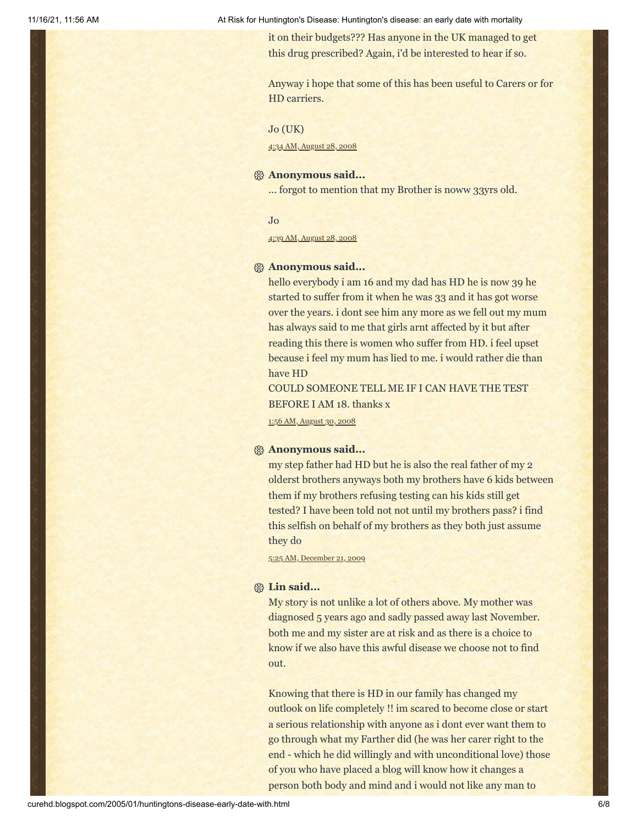it on their budgets??? Has anyone in the UK managed to get this drug prescribed? Again, i'd be interested to hear if so.

Anyway i hope that some of this has been useful to Carers or for HD carriers.

#### Jo (UK)

4:34 AM, [August](http://curehd.blogspot.com/2005/01/huntingtons-disease-early-date-with.html?showComment=1219923240000#c3431009430779095717) 28, 2008

#### **Anonymous said...**

... forgot to mention that my Brother is noww 33yrs old.

Jo

4:39 AM, [August](http://curehd.blogspot.com/2005/01/huntingtons-disease-early-date-with.html?showComment=1219923540000#c2053561262001408653) 28, 2008

#### **Anonymous said...**

hello everybody i am 16 and my dad has HD he is now 39 he started to suffer from it when he was 33 and it has got worse over the years. i dont see him any more as we fell out my mum has always said to me that girls arnt affected by it but after reading this there is women who suffer from HD. i feel upset because i feel my mum has lied to me. i would rather die than have HD

COULD SOMEONE TELL ME IF I CAN HAVE THE TEST BEFORE I AM 18. thanks x

1:56 AM, [August](http://curehd.blogspot.com/2005/01/huntingtons-disease-early-date-with.html?showComment=1220086560000#c9180404452414516385) 30, 2008

#### **Anonymous said...**

my step father had HD but he is also the real father of my 2 olderst brothers anyways both my brothers have 6 kids between them if my brothers refusing testing can his kids still get tested? I have been told not not until my brothers pass? i find this selfish on behalf of my brothers as they both just assume they do

5:25 AM, [December](http://curehd.blogspot.com/2005/01/huntingtons-disease-early-date-with.html?showComment=1261401921353#c27366056467061683) 21, 2009

#### **Lin said...**

My story is not unlike a lot of others above. My mother was diagnosed 5 years ago and sadly passed away last November. both me and my sister are at risk and as there is a choice to know if we also have this awful disease we choose not to find out.

Knowing that there is HD in our family has changed my outlook on life completely !! im scared to become close or start a serious relationship with anyone as i dont ever want them to go through what my Farther did (he was her carer right to the end - which he did willingly and with unconditional love) those of you who have placed a blog will know how it changes a person both body and mind and i would not like any man to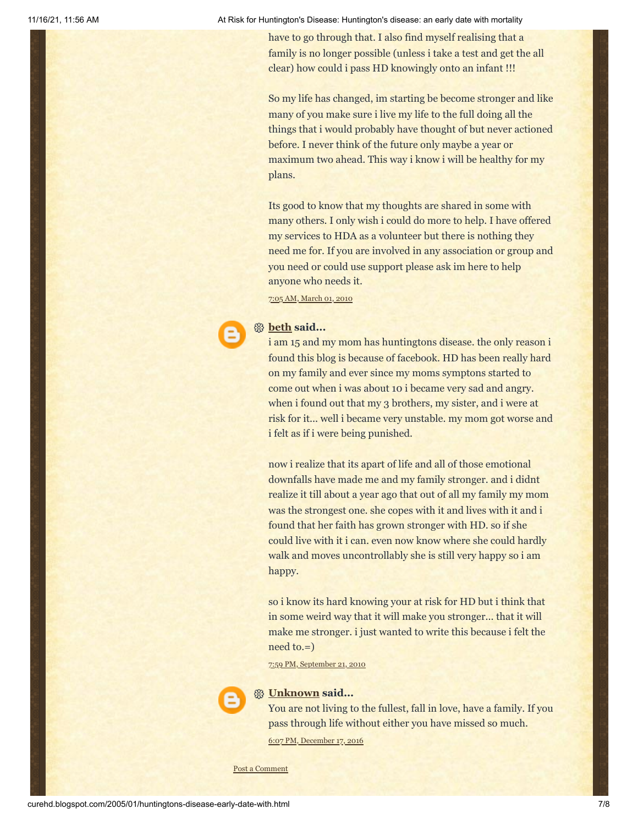have to go through that. I also find myself realising that a family is no longer possible (unless i take a test and get the all clear) how could i pass HD knowingly onto an infant !!!

So my life has changed, im starting be become stronger and like many of you make sure i live my life to the full doing all the things that i would probably have thought of but never actioned before. I never think of the future only maybe a year or maximum two ahead. This way i know i will be healthy for my plans.

Its good to know that my thoughts are shared in some with many others. I only wish i could do more to help. I have offered my services to HDA as a volunteer but there is nothing they need me for. If you are involved in any association or group and you need or could use support please ask im here to help anyone who needs it.

7:05 AM, [March](http://curehd.blogspot.com/2005/01/huntingtons-disease-early-date-with.html?showComment=1267455927331#c1833349052828338793) 01, 2010

### **[beth](https://www.blogger.com/profile/06949848457911785117) said...**

i am 15 and my mom has huntingtons disease. the only reason i found this blog is because of facebook. HD has been really hard on my family and ever since my moms symptons started to come out when i was about 10 i became very sad and angry. when i found out that my 3 brothers, my sister, and i were at risk for it... well i became very unstable. my mom got worse and i felt as if i were being punished.

now i realize that its apart of life and all of those emotional downfalls have made me and my family stronger. and i didnt realize it till about a year ago that out of all my family my mom was the strongest one. she copes with it and lives with it and i found that her faith has grown stronger with HD. so if she could live with it i can. even now know where she could hardly walk and moves uncontrollably she is still very happy so i am happy.

so i know its hard knowing your at risk for HD but i think that in some weird way that it will make you stronger... that it will make me stronger. i just wanted to write this because i felt the need to.=)

7:59 PM, [September](http://curehd.blogspot.com/2005/01/huntingtons-disease-early-date-with.html?showComment=1285124377701#c2822930485685603995) 21, 2010



#### **[Unknown](https://www.blogger.com/profile/09139685839538338820) said...**

You are not living to the fullest, fall in love, have a family. If you pass through life without either you have missed so much.

6:07 PM, [December](http://curehd.blogspot.com/2005/01/huntingtons-disease-early-date-with.html?showComment=1482026842257#c1996810198547956704) 17, 2016

Post a [Comment](https://www.blogger.com/comment.g?blogID=10081281&postID=110542352563374092&isPopup=true)